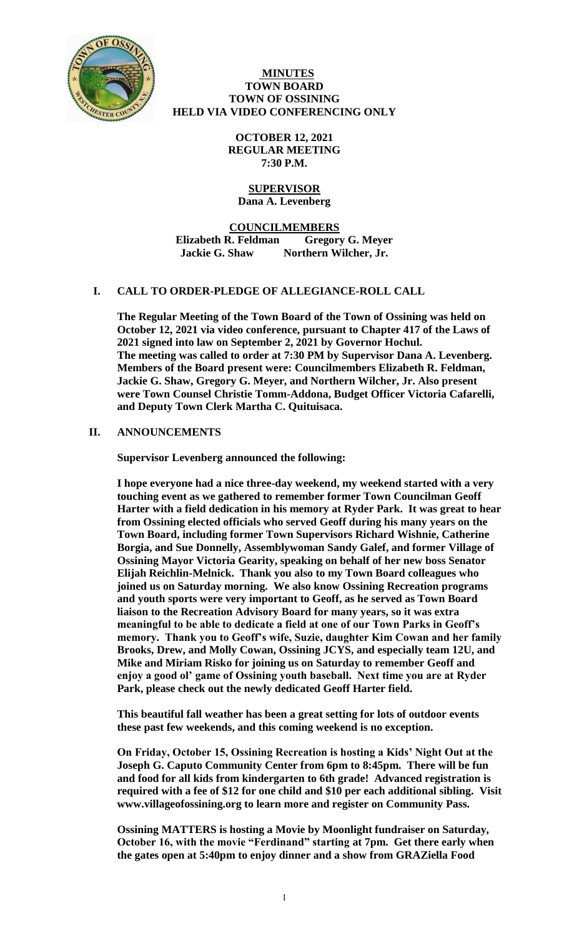

### **MINUTES TOWN BOARD TOWN OF OSSINING HELD VIA VIDEO CONFERENCING ONLY**

**OCTOBER 12, 2021 REGULAR MEETING 7:30 P.M.**

### **SUPERVISOR Dana A. Levenberg**

**COUNCILMEMBERS Elizabeth R. Feldman Gregory G. Meyer Jackie G. Shaw Northern Wilcher, Jr.**

# **I. CALL TO ORDER-PLEDGE OF ALLEGIANCE-ROLL CALL**

**The Regular Meeting of the Town Board of the Town of Ossining was held on October 12, 2021 via video conference, pursuant to Chapter 417 of the Laws of 2021 signed into law on September 2, 2021 by Governor Hochul. The meeting was called to order at 7:30 PM by Supervisor Dana A. Levenberg. Members of the Board present were: Councilmembers Elizabeth R. Feldman, Jackie G. Shaw, Gregory G. Meyer, and Northern Wilcher, Jr. Also present were Town Counsel Christie Tomm-Addona, Budget Officer Victoria Cafarelli, and Deputy Town Clerk Martha C. Quituisaca.** 

# **II. ANNOUNCEMENTS**

**Supervisor Levenberg announced the following:** 

**I hope everyone had a nice three-day weekend, my weekend started with a very touching event as we gathered to remember former Town Councilman Geoff Harter with a field dedication in his memory at Ryder Park. It was great to hear from Ossining elected officials who served Geoff during his many years on the Town Board, including former Town Supervisors Richard Wishnie, Catherine Borgia, and Sue Donnelly, Assemblywoman Sandy Galef, and former Village of Ossining Mayor Victoria Gearity, speaking on behalf of her new boss Senator Elijah Reichlin-Melnick. Thank you also to my Town Board colleagues who joined us on Saturday morning. We also know Ossining Recreation programs and youth sports were very important to Geoff, as he served as Town Board liaison to the Recreation Advisory Board for many years, so it was extra meaningful to be able to dedicate a field at one of our Town Parks in Geoff's memory. Thank you to Geoff's wife, Suzie, daughter Kim Cowan and her family Brooks, Drew, and Molly Cowan, Ossining JCYS, and especially team 12U, and Mike and Miriam Risko for joining us on Saturday to remember Geoff and enjoy a good ol' game of Ossining youth baseball. Next time you are at Ryder Park, please check out the newly dedicated Geoff Harter field.** 

**This beautiful fall weather has been a great setting for lots of outdoor events these past few weekends, and this coming weekend is no exception.** 

**On Friday, October 15, Ossining Recreation is hosting a Kids' Night Out at the Joseph G. Caputo Community Center from 6pm to 8:45pm. There will be fun and food for all kids from kindergarten to 6th grade! Advanced registration is required with a fee of \$12 for one child and \$10 per each additional sibling. Visit www.villageofossining.org to learn more and register on Community Pass.** 

**Ossining MATTERS is hosting a Movie by Moonlight fundraiser on Saturday, October 16, with the movie "Ferdinand" starting at 7pm. Get there early when the gates open at 5:40pm to enjoy dinner and a show from GRAZiella Food**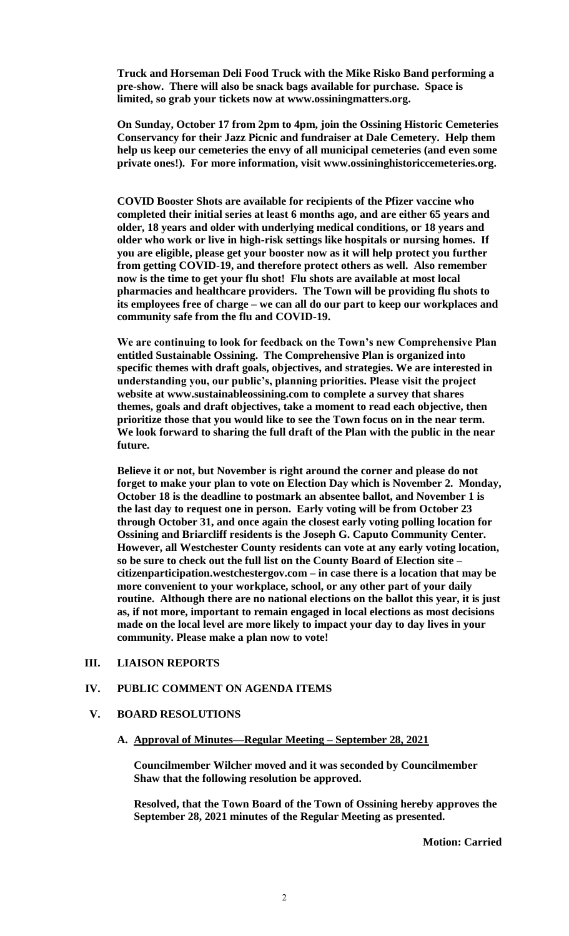**Truck and Horseman Deli Food Truck with the Mike Risko Band performing a pre-show. There will also be snack bags available for purchase. Space is limited, so grab your tickets now at www.ossiningmatters.org.** 

**On Sunday, October 17 from 2pm to 4pm, join the Ossining Historic Cemeteries Conservancy for their Jazz Picnic and fundraiser at Dale Cemetery. Help them help us keep our cemeteries the envy of all municipal cemeteries (and even some private ones!). For more information, visit www.ossininghistoriccemeteries.org.** 

**COVID Booster Shots are available for recipients of the Pfizer vaccine who completed their initial series at least 6 months ago, and are either 65 years and older, 18 years and older with underlying medical conditions, or 18 years and older who work or live in high-risk settings like hospitals or nursing homes. If you are eligible, please get your booster now as it will help protect you further from getting COVID-19, and therefore protect others as well. Also remember now is the time to get your flu shot! Flu shots are available at most local pharmacies and healthcare providers. The Town will be providing flu shots to its employees free of charge – we can all do our part to keep our workplaces and community safe from the flu and COVID-19.** 

**We are continuing to look for feedback on the Town's new Comprehensive Plan entitled Sustainable Ossining. The Comprehensive Plan is organized into specific themes with draft goals, objectives, and strategies. We are interested in understanding you, our public's, planning priorities. Please visit the project website at www.sustainableossining.com to complete a survey that shares themes, goals and draft objectives, take a moment to read each objective, then prioritize those that you would like to see the Town focus on in the near term. We look forward to sharing the full draft of the Plan with the public in the near future.** 

**Believe it or not, but November is right around the corner and please do not forget to make your plan to vote on Election Day which is November 2. Monday, October 18 is the deadline to postmark an absentee ballot, and November 1 is the last day to request one in person. Early voting will be from October 23 through October 31, and once again the closest early voting polling location for Ossining and Briarcliff residents is the Joseph G. Caputo Community Center. However, all Westchester County residents can vote at any early voting location, so be sure to check out the full list on the County Board of Election site – citizenparticipation.westchestergov.com – in case there is a location that may be more convenient to your workplace, school, or any other part of your daily routine. Although there are no national elections on the ballot this year, it is just as, if not more, important to remain engaged in local elections as most decisions made on the local level are more likely to impact your day to day lives in your community. Please make a plan now to vote!** 

### **III. LIAISON REPORTS**

### **IV. PUBLIC COMMENT ON AGENDA ITEMS**

#### **V. BOARD RESOLUTIONS**

**A. Approval of Minutes—Regular Meeting – September 28, 2021**

**Councilmember Wilcher moved and it was seconded by Councilmember Shaw that the following resolution be approved.**

**Resolved, that the Town Board of the Town of Ossining hereby approves the September 28, 2021 minutes of the Regular Meeting as presented.**

**Motion: Carried**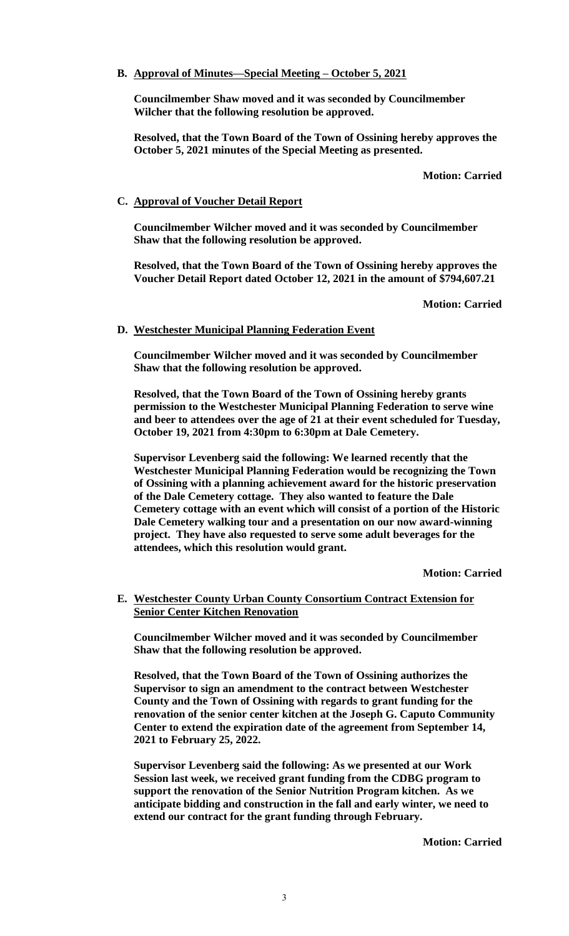## **B. Approval of Minutes—Special Meeting – October 5, 2021**

**Councilmember Shaw moved and it was seconded by Councilmember Wilcher that the following resolution be approved.**

**Resolved, that the Town Board of the Town of Ossining hereby approves the October 5, 2021 minutes of the Special Meeting as presented.**

**Motion: Carried**

## **C. Approval of Voucher Detail Report**

**Councilmember Wilcher moved and it was seconded by Councilmember Shaw that the following resolution be approved.**

**Resolved, that the Town Board of the Town of Ossining hereby approves the Voucher Detail Report dated October 12, 2021 in the amount of \$794,607.21**

**Motion: Carried**

# **D. Westchester Municipal Planning Federation Event**

**Councilmember Wilcher moved and it was seconded by Councilmember Shaw that the following resolution be approved.**

**Resolved, that the Town Board of the Town of Ossining hereby grants permission to the Westchester Municipal Planning Federation to serve wine and beer to attendees over the age of 21 at their event scheduled for Tuesday, October 19, 2021 from 4:30pm to 6:30pm at Dale Cemetery.** 

**Supervisor Levenberg said the following: We learned recently that the Westchester Municipal Planning Federation would be recognizing the Town of Ossining with a planning achievement award for the historic preservation of the Dale Cemetery cottage. They also wanted to feature the Dale Cemetery cottage with an event which will consist of a portion of the Historic Dale Cemetery walking tour and a presentation on our now award-winning project. They have also requested to serve some adult beverages for the attendees, which this resolution would grant.**

**Motion: Carried**

# **E. Westchester County Urban County Consortium Contract Extension for Senior Center Kitchen Renovation**

**Councilmember Wilcher moved and it was seconded by Councilmember Shaw that the following resolution be approved.**

**Resolved, that the Town Board of the Town of Ossining authorizes the Supervisor to sign an amendment to the contract between Westchester County and the Town of Ossining with regards to grant funding for the renovation of the senior center kitchen at the Joseph G. Caputo Community Center to extend the expiration date of the agreement from September 14, 2021 to February 25, 2022.**

**Supervisor Levenberg said the following: As we presented at our Work Session last week, we received grant funding from the CDBG program to support the renovation of the Senior Nutrition Program kitchen. As we anticipate bidding and construction in the fall and early winter, we need to extend our contract for the grant funding through February.**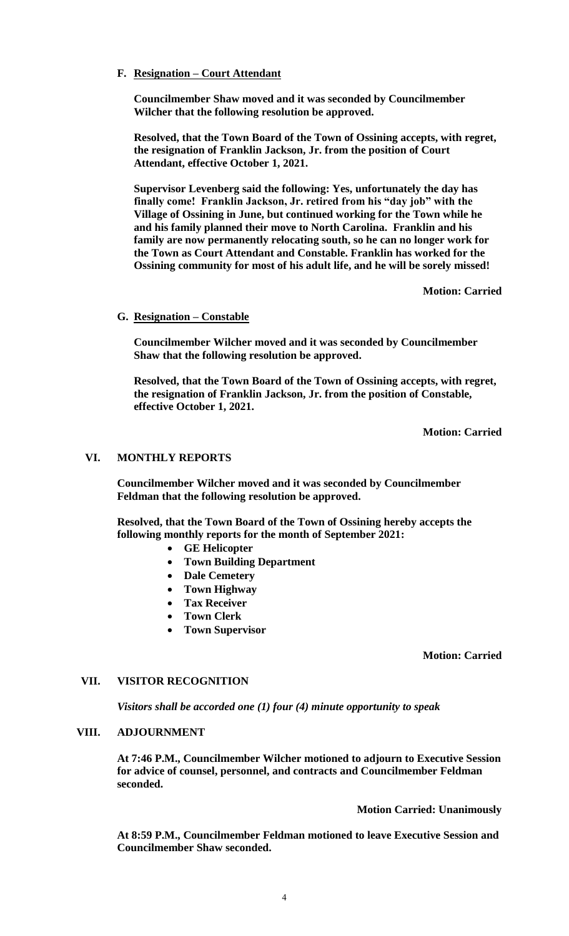## **F. Resignation – Court Attendant**

**Councilmember Shaw moved and it was seconded by Councilmember Wilcher that the following resolution be approved.**

**Resolved, that the Town Board of the Town of Ossining accepts, with regret, the resignation of Franklin Jackson, Jr. from the position of Court Attendant, effective October 1, 2021.** 

**Supervisor Levenberg said the following: Yes, unfortunately the day has finally come! Franklin Jackson, Jr. retired from his "day job" with the Village of Ossining in June, but continued working for the Town while he and his family planned their move to North Carolina. Franklin and his family are now permanently relocating south, so he can no longer work for the Town as Court Attendant and Constable. Franklin has worked for the Ossining community for most of his adult life, and he will be sorely missed!**

**Motion: Carried**

### **G. Resignation – Constable**

**Councilmember Wilcher moved and it was seconded by Councilmember Shaw that the following resolution be approved.**

**Resolved, that the Town Board of the Town of Ossining accepts, with regret, the resignation of Franklin Jackson, Jr. from the position of Constable, effective October 1, 2021.** 

**Motion: Carried**

# **VI. MONTHLY REPORTS**

**Councilmember Wilcher moved and it was seconded by Councilmember Feldman that the following resolution be approved.**

**Resolved, that the Town Board of the Town of Ossining hereby accepts the following monthly reports for the month of September 2021:**

- **GE Helicopter**
- **Town Building Department**
- **Dale Cemetery**
- **Town Highway**
- **Tax Receiver**
- **Town Clerk**
- **Town Supervisor**

### **Motion: Carried**

#### **VII. VISITOR RECOGNITION**

*Visitors shall be accorded one (1) four (4) minute opportunity to speak*

#### **VIII. ADJOURNMENT**

**At 7:46 P.M., Councilmember Wilcher motioned to adjourn to Executive Session for advice of counsel, personnel, and contracts and Councilmember Feldman seconded.** 

**Motion Carried: Unanimously**

**At 8:59 P.M., Councilmember Feldman motioned to leave Executive Session and Councilmember Shaw seconded.**